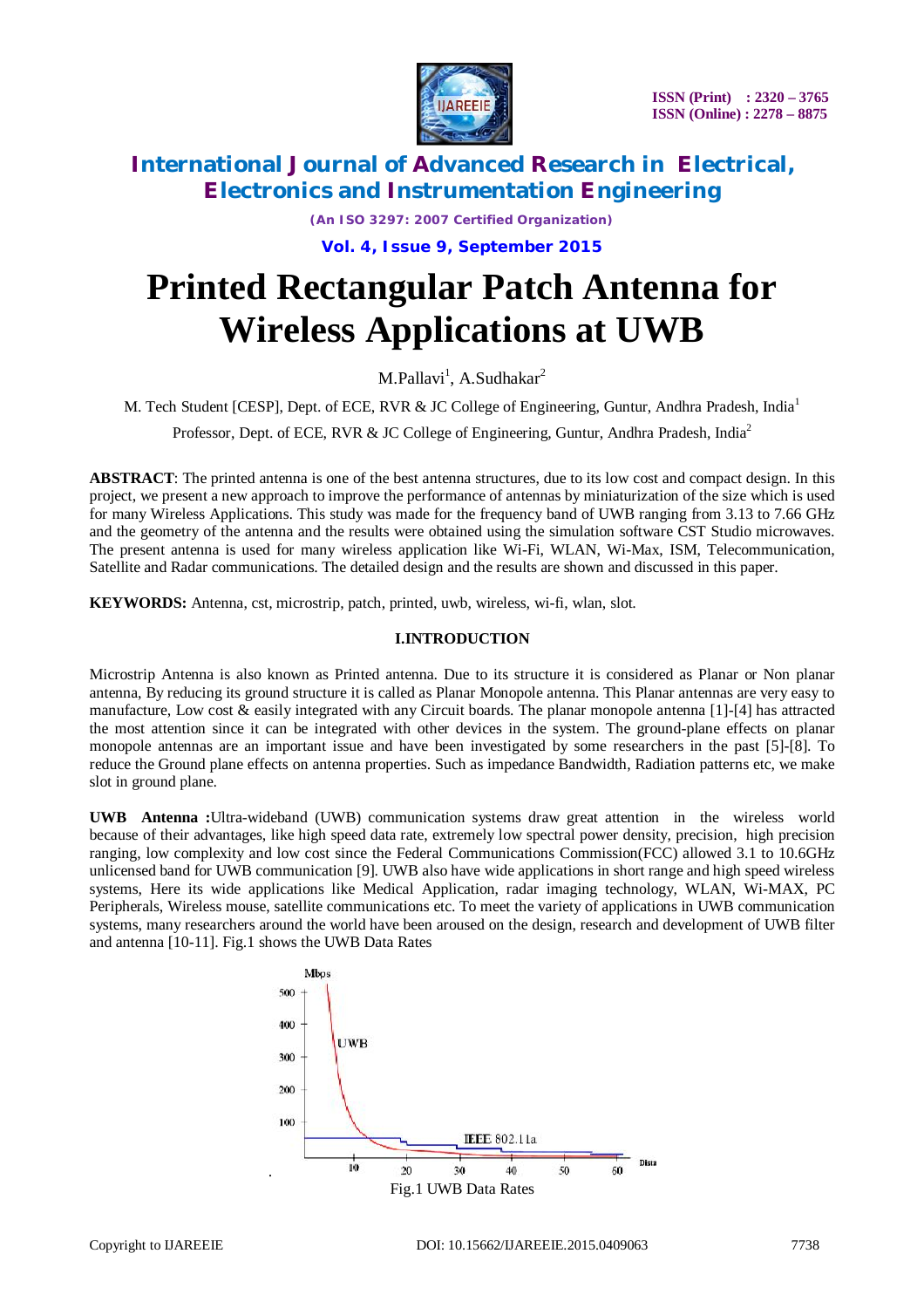

*(An ISO 3297: 2007 Certified Organization)* **Vol. 4, Issue 9, September 2015**

# **Printed Rectangular Patch Antenna for Wireless Applications at UWB**

M.Pallavi<sup>1</sup>, A.Sudhakar<sup>2</sup>

M. Tech Student [CESP], Dept. of ECE, RVR & JC College of Engineering, Guntur, Andhra Pradesh, India<sup>1</sup>

Professor, Dept. of ECE, RVR & JC College of Engineering, Guntur, Andhra Pradesh, India<sup>2</sup>

**ABSTRACT**: The printed antenna is one of the best antenna structures, due to its low cost and compact design. In this project, we present a new approach to improve the performance of antennas by miniaturization of the size which is used for many Wireless Applications. This study was made for the frequency band of UWB ranging from 3.13 to 7.66 GHz and the geometry of the antenna and the results were obtained using the simulation software CST Studio microwaves. The present antenna is used for many wireless application like Wi-Fi, WLAN, Wi-Max, ISM, Telecommunication, Satellite and Radar communications. The detailed design and the results are shown and discussed in this paper.

**KEYWORDS:** Antenna, cst, microstrip, patch, printed, uwb, wireless, wi-fi, wlan, slot.

### **I.INTRODUCTION**

Microstrip Antenna is also known as Printed antenna. Due to its structure it is considered as Planar or Non planar antenna, By reducing its ground structure it is called as Planar Monopole antenna. This Planar antennas are very easy to manufacture, Low cost & easily integrated with any Circuit boards. The planar monopole antenna [1]-[4] has attracted the most attention since it can be integrated with other devices in the system. The ground-plane effects on planar monopole antennas are an important issue and have been investigated by some researchers in the past [5]-[8]. To reduce the Ground plane effects on antenna properties. Such as impedance Bandwidth, Radiation patterns etc, we make slot in ground plane.

**UWB Antenna :**Ultra-wideband (UWB) communication systems draw great attention in the wireless world because of their advantages, like high speed data rate, extremely low spectral power density, precision, high precision ranging, low complexity and low cost since the Federal Communications Commission(FCC) allowed 3.1 to 10.6GHz unlicensed band for UWB communication [9]. UWB also have wide applications in short range and high speed wireless systems, Here its wide applications like Medical Application, radar imaging technology, WLAN, Wi-MAX, PC Peripherals, Wireless mouse, satellite communications etc. To meet the variety of applications in UWB communication systems, many researchers around the world have been aroused on the design, research and development of UWB filter and antenna [10-11]. Fig.1 shows the UWB Data Rates

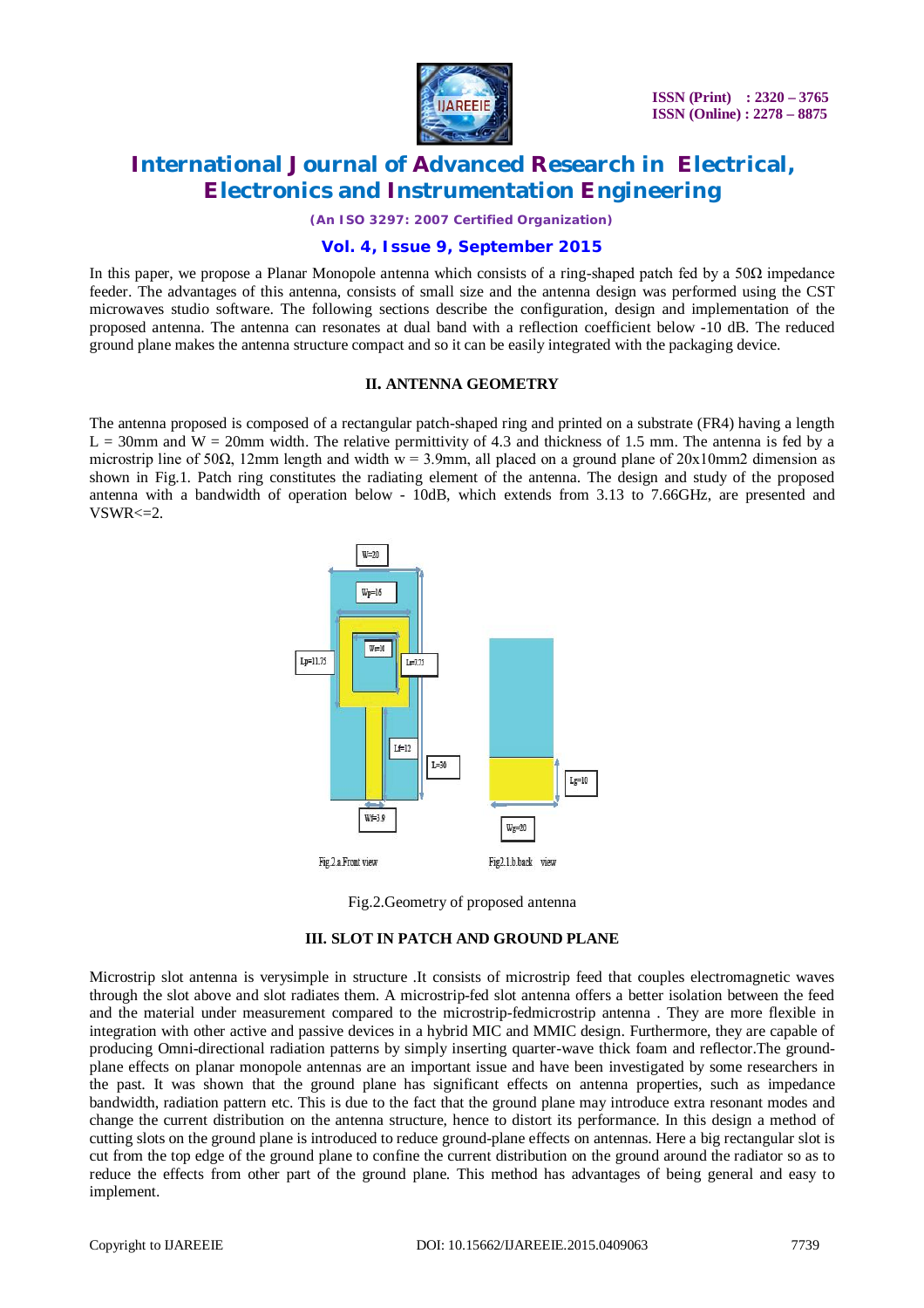

*(An ISO 3297: 2007 Certified Organization)*

### **Vol. 4, Issue 9, September 2015**

In this paper, we propose a Planar Monopole antenna which consists of a ring-shaped patch fed by a  $50\Omega$  impedance feeder. The advantages of this antenna, consists of small size and the antenna design was performed using the CST microwaves studio software. The following sections describe the configuration, design and implementation of the proposed antenna. The antenna can resonates at dual band with a reflection coefficient below -10 dB. The reduced ground plane makes the antenna structure compact and so it can be easily integrated with the packaging device.

#### **II. ANTENNA GEOMETRY**

The antenna proposed is composed of a rectangular patch-shaped ring and printed on a substrate (FR4) having a length  $L = 30$ mm and W = 20mm width. The relative permittivity of 4.3 and thickness of 1.5 mm. The antenna is fed by a microstrip line of 50 $\Omega$ , 12mm length and width w = 3.9mm, all placed on a ground plane of 20x10mm2 dimension as shown in Fig.1. Patch ring constitutes the radiating element of the antenna. The design and study of the proposed antenna with a bandwidth of operation below - 10dB, which extends from 3.13 to 7.66GHz, are presented and  $VSWR \leq 2$ .



Fig.2.Geometry of proposed antenna

#### **III. SLOT IN PATCH AND GROUND PLANE**

Microstrip slot antenna is verysimple in structure .It consists of microstrip feed that couples electromagnetic waves through the slot above and slot radiates them. A microstrip-fed slot antenna offers a better isolation between the feed and the material under measurement compared to the microstrip-fedmicrostrip antenna . They are more flexible in integration with other active and passive devices in a hybrid MIC and MMIC design. Furthermore, they are capable of producing Omni-directional radiation patterns by simply inserting quarter-wave thick foam and reflector.The groundplane effects on planar monopole antennas are an important issue and have been investigated by some researchers in the past. It was shown that the ground plane has significant effects on antenna properties, such as impedance bandwidth, radiation pattern etc. This is due to the fact that the ground plane may introduce extra resonant modes and change the current distribution on the antenna structure, hence to distort its performance. In this design a method of cutting slots on the ground plane is introduced to reduce ground-plane effects on antennas. Here a big rectangular slot is cut from the top edge of the ground plane to confine the current distribution on the ground around the radiator so as to reduce the effects from other part of the ground plane. This method has advantages of being general and easy to implement.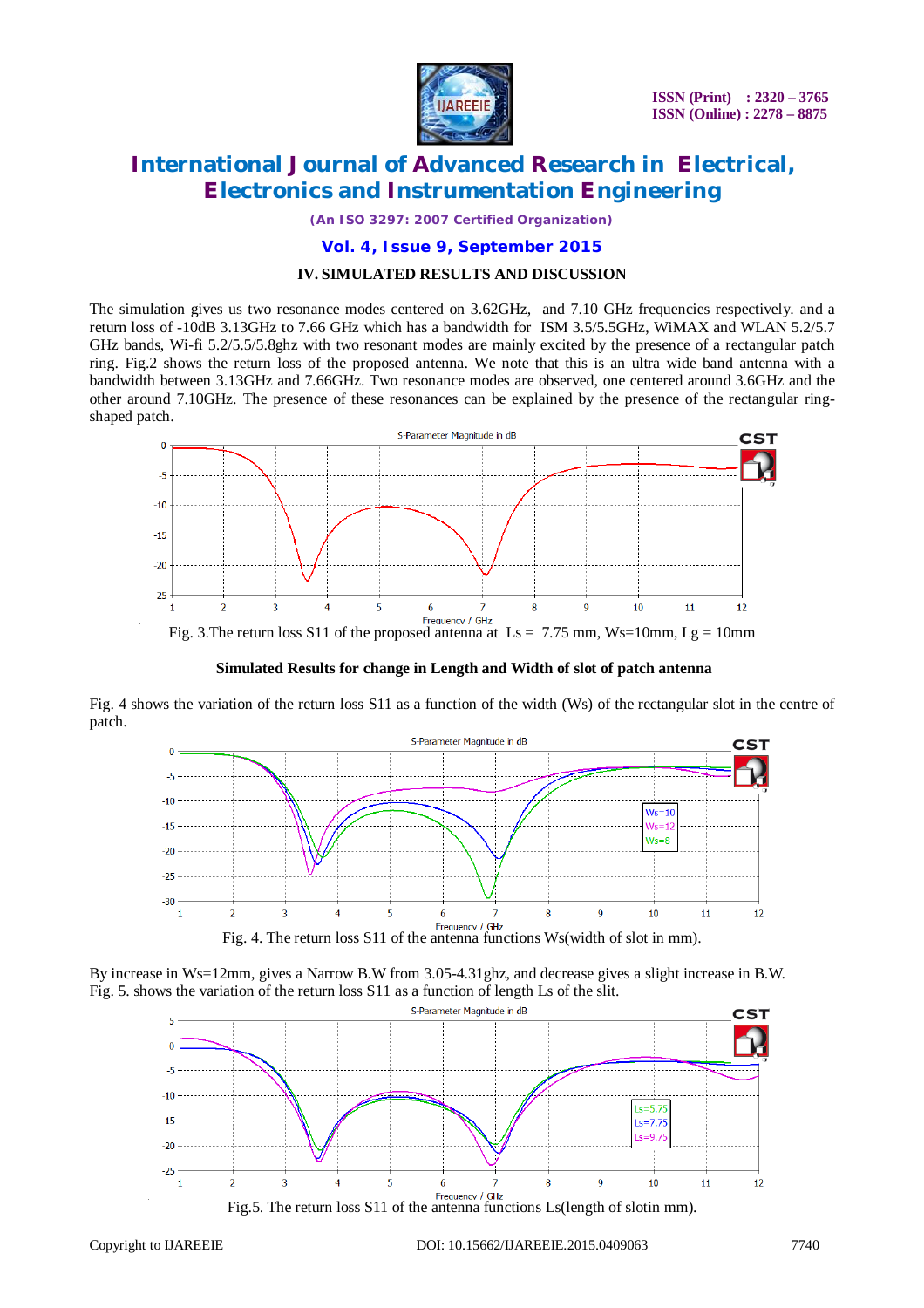

*(An ISO 3297: 2007 Certified Organization)*

# **Vol. 4, Issue 9, September 2015**

### **IV. SIMULATED RESULTS AND DISCUSSION**

The simulation gives us two resonance modes centered on 3.62GHz, and 7.10 GHz frequencies respectively. and a return loss of -10dB 3.13GHz to 7.66 GHz which has a bandwidth for ISM 3.5/5.5GHz, WiMAX and WLAN 5.2/5.7 GHz bands, Wi-fi 5.2/5.5/5.8ghz with two resonant modes are mainly excited by the presence of a rectangular patch ring. Fig.2 shows the return loss of the proposed antenna. We note that this is an ultra wide band antenna with a bandwidth between 3.13GHz and 7.66GHz. Two resonance modes are observed, one centered around 3.6GHz and the other around 7.10GHz. The presence of these resonances can be explained by the presence of the rectangular ringshaped patch.



**Simulated Results for change in Length and Width of slot of patch antenna**

Fig. 4 shows the variation of the return loss S11 as a function of the width (Ws) of the rectangular slot in the centre of patch.



By increase in Ws=12mm, gives a Narrow B.W from 3.05-4.31ghz, and decrease gives a slight increase in B.W. Fig. 5. shows the variation of the return loss S11 as a function of length Ls of the slit.

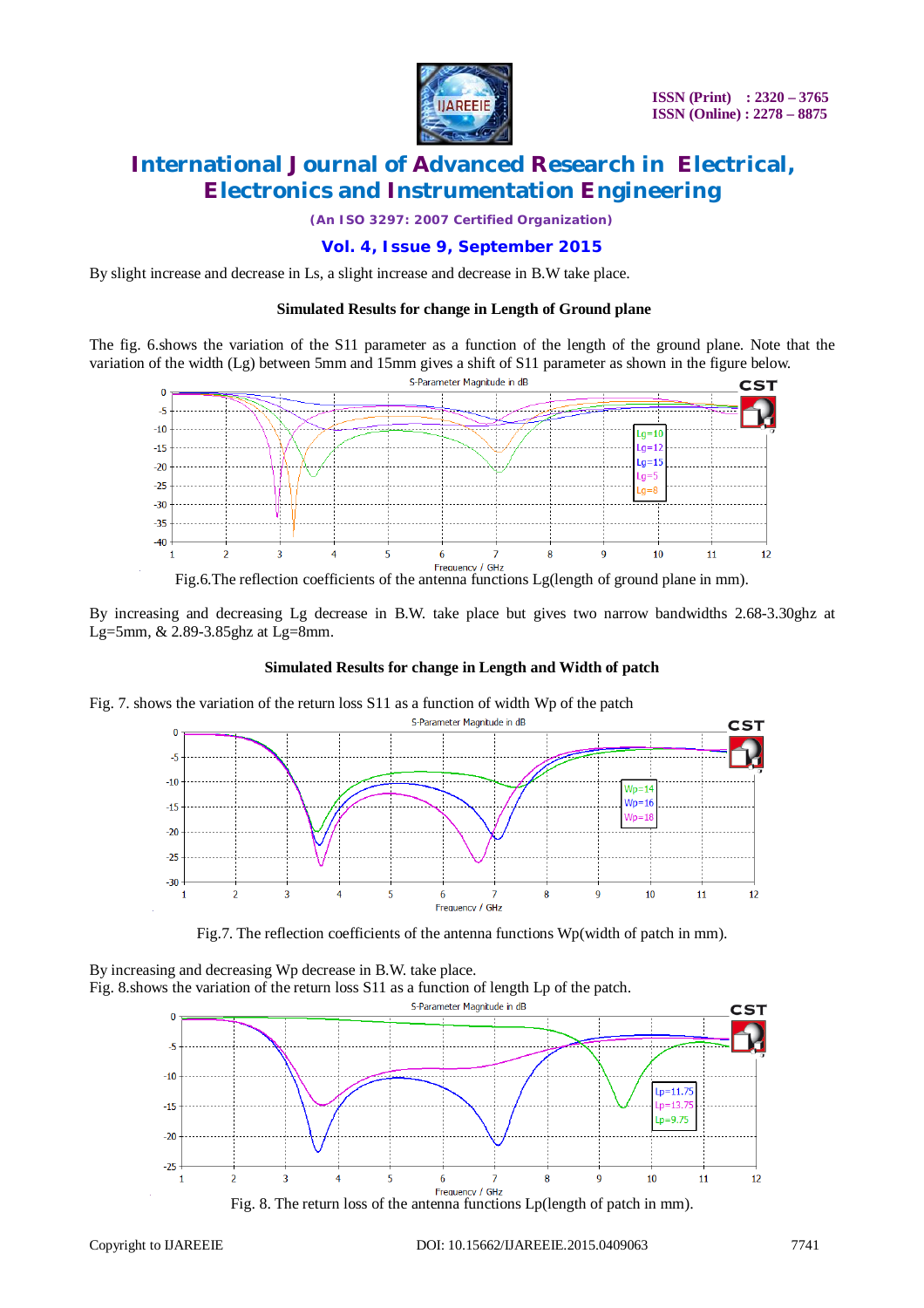

*(An ISO 3297: 2007 Certified Organization)*

### **Vol. 4, Issue 9, September 2015**

By slight increase and decrease in Ls, a slight increase and decrease in B.W take place.

#### **Simulated Results for change in Length of Ground plane**

The fig. 6.shows the variation of the S11 parameter as a function of the length of the ground plane. Note that the variation of the width (Lg) between 5mm and 15mm gives a shift of S11 parameter as shown in the figure below.



By increasing and decreasing Lg decrease in B.W. take place but gives two narrow bandwidths 2.68-3.30ghz at Lg=5mm, & 2.89-3.85ghz at Lg=8mm.

#### **Simulated Results for change in Length and Width of patch**

Fig. 7. shows the variation of the return loss S11 as a function of width Wp of the patch



Fig.7. The reflection coefficients of the antenna functions Wp(width of patch in mm).

By increasing and decreasing Wp decrease in B.W. take place. Fig. 8.shows the variation of the return loss S11 as a function of length Lp of the patch.



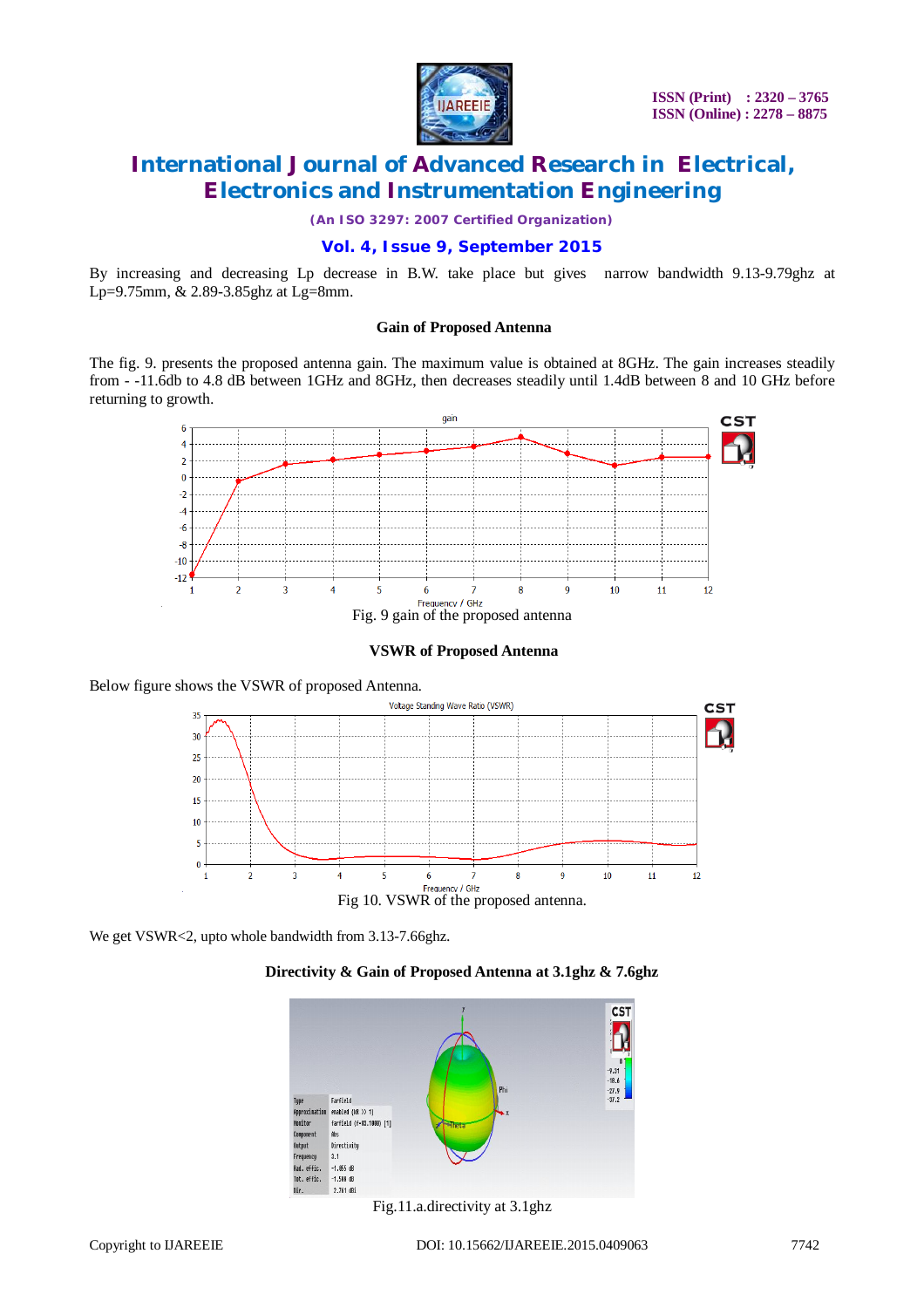

*(An ISO 3297: 2007 Certified Organization)*

### **Vol. 4, Issue 9, September 2015**

By increasing and decreasing Lp decrease in B.W. take place but gives narrow bandwidth 9.13-9.79ghz at Lp=9.75mm, & 2.89-3.85ghz at Lg=8mm.

#### **Gain of Proposed Antenna**

The fig. 9. presents the proposed antenna gain. The maximum value is obtained at 8GHz. The gain increases steadily from - -11.6db to 4.8 dB between 1GHz and 8GHz, then decreases steadily until 1.4dB between 8 and 10 GHz before returning to growth.



**VSWR of Proposed Antenna**

Below figure shows the VSWR of proposed Antenna.



We get VSWR<2, upto whole bandwidth from 3.13-7.66ghz.





Fig.11.a.directivity at 3.1ghz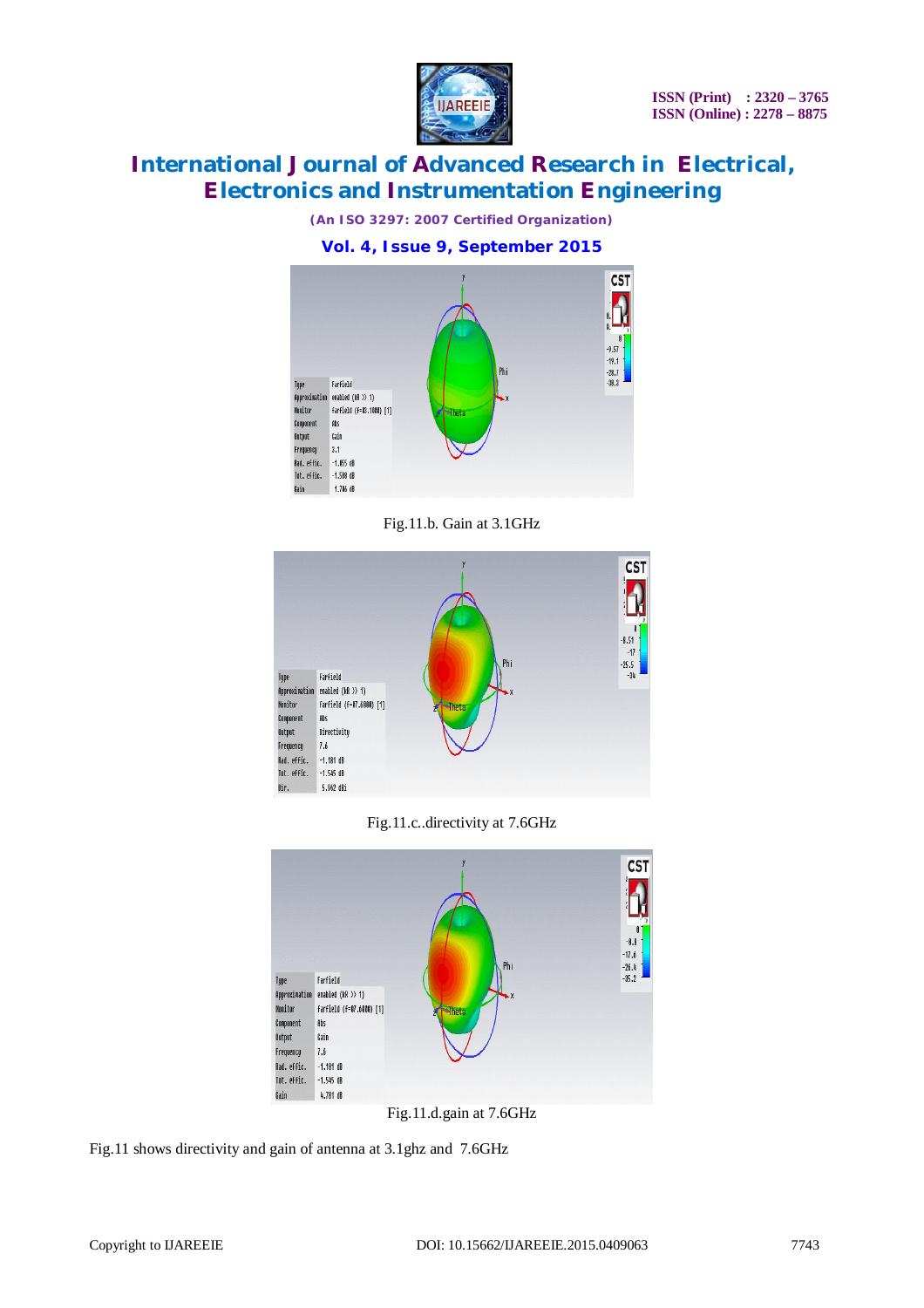

*(An ISO 3297: 2007 Certified Organization)*

**Vol. 4, Issue 9, September 2015**



Fig.11.b. Gain at 3.1GHz



Fig.11.c..directivity at 7.6GHz



Fig.11.d.gain at 7.6GHz

Fig.11 shows directivity and gain of antenna at 3.1ghz and 7.6GHz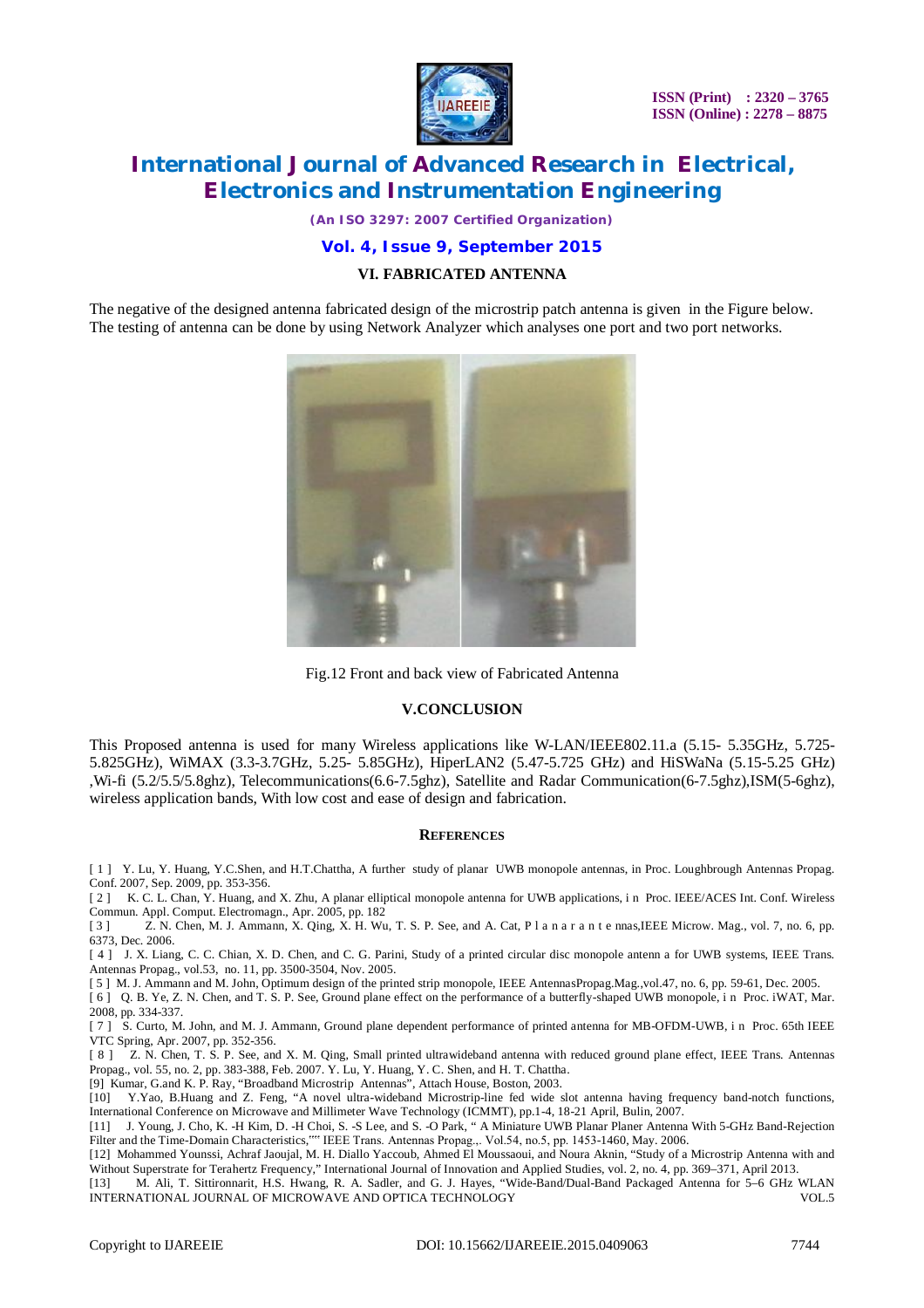

**ISSN (Print) : 2320 – 3765 ISSN (Online) : 2278 – 8875**

# **International Journal of Advanced Research in Electrical, Electronics and Instrumentation Engineering**

*(An ISO 3297: 2007 Certified Organization)*

### **Vol. 4, Issue 9, September 2015**

### **VI. FABRICATED ANTENNA**

The negative of the designed antenna fabricated design of the microstrip patch antenna is given in the Figure below. The testing of antenna can be done by using Network Analyzer which analyses one port and two port networks.



Fig.12 Front and back view of Fabricated Antenna

#### **V.CONCLUSION**

This Proposed antenna is used for many Wireless applications like W-LAN/IEEE802.11.a (5.15- 5.35GHz, 5.725- 5.825GHz), WiMAX (3.3-3.7GHz, 5.25- 5.85GHz), HiperLAN2 (5.47-5.725 GHz) and HiSWaNa (5.15-5.25 GHz) ,Wi-fi (5.2/5.5/5.8ghz), Telecommunications(6.6-7.5ghz), Satellite and Radar Communication(6-7.5ghz),ISM(5-6ghz), wireless application bands, With low cost and ease of design and fabrication.

#### **REFERENCES**

[ 1 ] Y. Lu, Y. Huang, Y.C.Shen, and H.T.Chattha, A further study of planar UWB monopole antennas, in Proc. Loughbrough Antennas Propag. Conf. 2007, Sep. 2009, pp. 353-356.

[ 2 ] K. C. L. Chan, Y. Huang, and X. Zhu, A planar elliptical monopole antenna for UWB applications, in Proc. IEEE/ACES Int. Conf. Wireless

Commun. Appl. Comput. Electromagn., Apr. 2005, pp. 182<br>[3] Z. N. Chen, M. J. Ammann, X. Qing, X. H. Wu [ 3 ] Z. N. Chen, M. J. Ammann, X. Qing, X. H. Wu, T. S. P. See, and A. Cat, P l a n a r a n t e nnas,IEEE Microw. Mag., vol. 7, no. 6, pp. 6373, Dec. 2006.

[4] J. X. Liang, C. C. Chian, X. D. Chen, and C. G. Parini, Study of a printed circular disc monopole antenn a for UWB systems, IEEE Trans. Antennas Propag., vol.53, no. 11, pp. 3500-3504, Nov. 2005.

[ 5 ] M. J. Ammann and M. John, Optimum design of the printed strip monopole, IEEE AntennasPropag.Mag.,vol.47, no. 6, pp. 59-61, Dec. 2005.

[6] Q. B. Ye, Z. N. Chen, and T. S. P. See, Ground plane effect on the performance of a butterfly-shaped UWB monopole, in Proc. iWAT, Mar. 2008, pp. 334-337.

[ 7 ] S. Curto, M. John, and M. J. Ammann, Ground plane dependent performance of printed antenna for MB-OFDM-UWB, i n Proc. 65th IEEE VTC Spring, Apr. 2007, pp. 352-356.

[ 8 ]  $Z$ . N. Chen, T. S. P. See, and X. M. Qing, Small printed ultrawideband antenna with reduced ground plane effect, IEEE Trans. Antennas Propag., vol. 55, no. 2, pp. 383-388, Feb. 2007. Y. Lu, Y. Huang, Y. C. Shen, and H. T. Chattha.

[9] Kumar, G.and K. P. Ray, "Broadband Microstrip Antennas", Attach House, Boston, 2003.

[10] Y.Yao, B.Huang and Z. Feng, "A novel ultra-wideband Microstrip-line fed wide slot antenna having frequency band-notch functions, International Conference on Microwave and Millimeter Wave Technology (ICMMT), pp.1-4, 18-21 April, Bulin, 2007.

[11] J. Young, J. Cho, K. -H Kim, D. -H Choi, S. -S Lee, and S. -O Park, " A Miniature UWB Planar Planer Antenna With 5-GHz Band-Rejection Filter and the Time-Domain Characteristics,"" IEEE Trans. Antennas Propag.,. Vol.54, no.5, pp. 1453-1460, May. 2006.

[12] Mohammed Younssi, Achraf Jaoujal, M. H. Diallo Yaccoub, Ahmed El Moussaoui, and Noura Aknin, "Study of a Microstrip Antenna with and Without Superstrate for Terahertz Frequency," International Journal of Innovation and Applied Studies, vol. 2, no. 4, pp. 369–371, April 2013.

[13] M. Ali, T. Sittironnarit, H.S. Hwang, R. A. Sadler, and G. J. Hayes, "Wide-Band/Dual-Band Packaged Antenna for 5–6 GHz WLAN INTERNATIONAL JOURNAL OF MICROWAVE AND OPTICA TECHNOLOGY